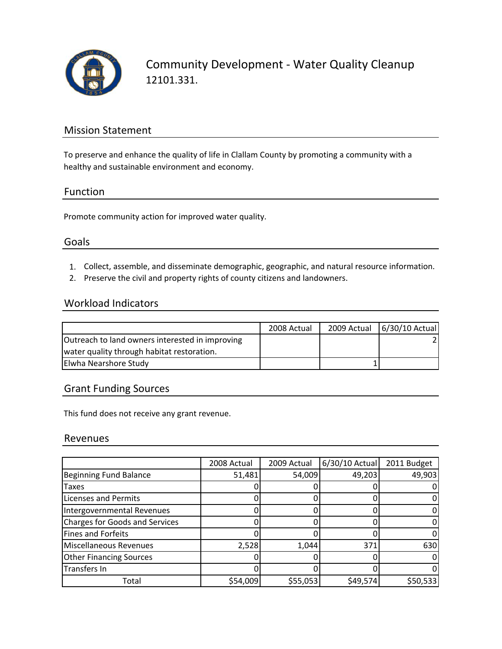

Community Development ‐ Water Quality Cleanup 12101.331.

# Mission Statement

To preserve and enhance the quality of life in Clallam County by promoting a community with a healthy and sustainable environment and economy.

## Function

Promote community action for improved water quality.

## Goals

- 1. Collect, assemble, and disseminate demographic, geographic, and natural resource information.
- 2. Preserve the civil and property rights of county citizens and landowners.

## Workload Indicators

|                                                 | 2008 Actual | 2009 Actual | 6/30/10 Actual |
|-------------------------------------------------|-------------|-------------|----------------|
| Outreach to land owners interested in improving |             |             |                |
| water quality through habitat restoration.      |             |             |                |
| Elwha Nearshore Study                           |             |             |                |

# Grant Funding Sources

This fund does not receive any grant revenue.

#### Revenues

|                                       | 2008 Actual | 2009 Actual | 6/30/10 Actual | 2011 Budget |
|---------------------------------------|-------------|-------------|----------------|-------------|
| <b>Beginning Fund Balance</b>         | 51,481      | 54,009      | 49,203         | 49,903      |
| <b>Taxes</b>                          |             |             |                |             |
| <b>Licenses and Permits</b>           |             |             |                |             |
| Intergovernmental Revenues            |             |             |                |             |
| <b>Charges for Goods and Services</b> |             |             |                |             |
| <b>Fines and Forfeits</b>             |             |             |                |             |
| <b>Miscellaneous Revenues</b>         | 2,528       | 1,044       | 371            | 630         |
| <b>Other Financing Sources</b>        |             |             |                |             |
| Transfers In                          |             |             |                |             |
| Total                                 | \$54,009    | \$55,053    | \$49,574       | \$50,533    |